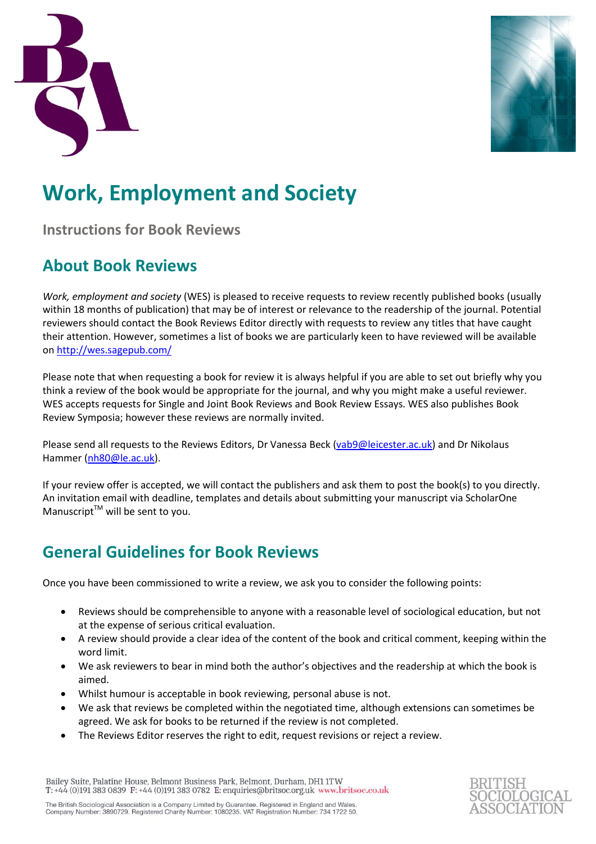



# **Work, Employment and Society**

**Instructions for Book Reviews**

## **About Book Reviews**

*Work, employment and society* (WES) is pleased to receive requests to review recently published books (usually within 18 months of publication) that may be of interest or relevance to the readership of the journal. Potential reviewers should contact the Book Reviews Editor directly with requests to review any titles that have caught their attention. However, sometimes a list of books we are particularly keen to have reviewed will be available o[n http://wes.sagepub.com/](http://wes.sagepub.com/)

Please note that when requesting a book for review it is always helpful if you are able to set out briefly why you think a review of the book would be appropriate for the journal, and why you might make a useful reviewer. WES accepts requests for Single and Joint Book Reviews and Book Review Essays. WES also publishes Book Review Symposia; however these reviews are normally invited.

Please send all requests to the Reviews Editors, Dr Vanessa Beck [\(vab9@leicester.ac.uk\)](mailto:vab9@leicester.ac.uk) and Dr Nikolaus Hammer [\(nh80@le.ac.uk\)](mailto:nh80@le.ac.uk).

If your review offer is accepted, we will contact the publishers and ask them to post the book(s) to you directly. An invitation email with deadline, templates and details about submitting your manuscript via ScholarOne Manuscript $TM$  will be sent to you.

### **General Guidelines for Book Reviews**

Once you have been commissioned to write a review, we ask you to consider the following points:

- Reviews should be comprehensible to anyone with a reasonable level of sociological education, but not at the expense of serious critical evaluation.
- A review should provide a clear idea of the content of the book and critical comment, keeping within the word limit.
- We ask reviewers to bear in mind both the author's objectives and the readership at which the book is aimed.
- Whilst humour is acceptable in book reviewing, personal abuse is not.
- We ask that reviews be completed within the negotiated time, although extensions can sometimes be agreed. We ask for books to be returned if the review is not completed.
- The Reviews Editor reserves the right to edit, request revisions or reject a review.

Bailey Suite, Palatine House, Belmont Business Park, Belmont, Durham, DH1 1TW T:  $+44$  (0)191 383 0839 F:  $+44$  (0)191 383 0782 E: enquiries@britsoc.org.uk www.britsoc.co.uk

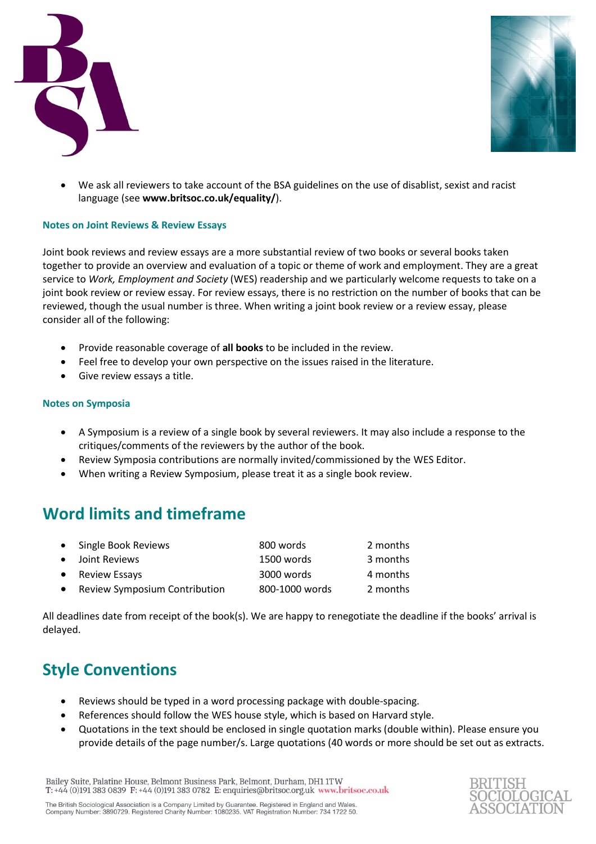



 We ask all reviewers to take account of the BSA guidelines on the use of disablist, sexist and racist language (see **www.britsoc.co.uk/equality/**).

#### **Notes on Joint Reviews & Review Essays**

Joint book reviews and review essays are a more substantial review of two books or several books taken together to provide an overview and evaluation of a topic or theme of work and employment. They are a great service to *Work, Employment and Society* (WES) readership and we particularly welcome requests to take on a joint book review or review essay. For review essays, there is no restriction on the number of books that can be reviewed, though the usual number is three. When writing a joint book review or a review essay, please consider all of the following:

- Provide reasonable coverage of **all books** to be included in the review.
- Feel free to develop your own perspective on the issues raised in the literature.
- Give review essays a title.

#### **Notes on Symposia**

- A Symposium is a review of a single book by several reviewers. It may also include a response to the critiques/comments of the reviewers by the author of the book.
- Review Symposia contributions are normally invited/commissioned by the WES Editor.
- When writing a Review Symposium, please treat it as a single book review.

### **Word limits and timeframe**

|           | • Single Book Reviews                | 800 words      | 2 months |
|-----------|--------------------------------------|----------------|----------|
|           | • Joint Reviews                      | 1500 words     | 3 months |
|           | • Review Essays                      | 3000 words     | 4 months |
| $\bullet$ | <b>Review Symposium Contribution</b> | 800-1000 words | 2 months |

All deadlines date from receipt of the book(s). We are happy to renegotiate the deadline if the books' arrival is delayed.

### **Style Conventions**

- Reviews should be typed in a word processing package with double-spacing.
- References should follow the WES house style, which is based on Harvard style.
- Quotations in the text should be enclosed in single quotation marks (double within). Please ensure you provide details of the page number/s. Large quotations (40 words or more should be set out as extracts.

Bailey Suite, Palatine House, Belmont Business Park, Belmont, Durham, DH1 1TW T:  $+44$  (0)191 383 0839 F:  $+44$  (0)191 383 0782 E: enquiries@britsoc.org.uk www.britsoc.co.uk



The British Sociological Association is a Company Limited by Guarantee. Registered in England and Wales.<br>Company Number: 3890729. Registered Charity Number: 1080235. VAT Registration Number: 734 1722 50.